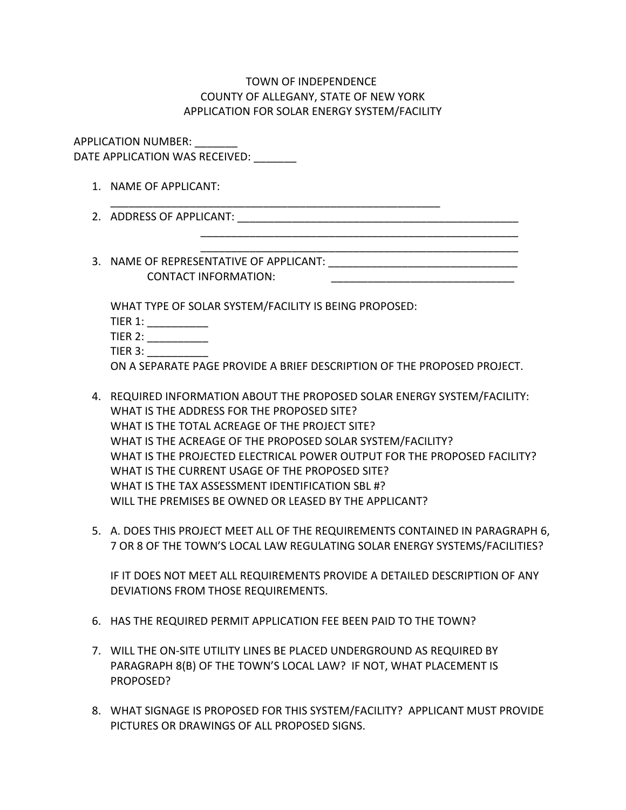## TOWN OF INDEPENDENCE COUNTY OF ALLEGANY, STATE OF NEW YORK APPLICATION FOR SOLAR ENERGY SYSTEM/FACILITY

APPLICATION NUMBER: \_\_\_\_\_\_\_ DATE APPLICATION WAS RECEIVED:

- 1. NAME OF APPLICANT: \_\_\_\_\_\_\_\_\_\_\_\_\_\_\_\_\_\_\_\_\_\_\_\_\_\_\_\_\_\_\_\_\_\_\_\_\_\_\_\_\_\_\_\_\_\_\_\_\_\_\_\_\_\_
- 2. ADDRESS OF APPLICANT:
- \_\_\_\_\_\_\_\_\_\_\_\_\_\_\_\_\_\_\_\_\_\_\_\_\_\_\_\_\_\_\_\_\_\_\_\_\_\_\_\_\_\_\_\_\_\_\_\_\_\_\_\_ 3. NAME OF REPRESENTATIVE OF APPLICANT: \_\_\_\_\_\_\_\_\_\_\_\_\_\_\_\_\_\_\_\_\_\_\_\_\_\_\_\_\_\_\_ CONTACT INFORMATION:

\_\_\_\_\_\_\_\_\_\_\_\_\_\_\_\_\_\_\_\_\_\_\_\_\_\_\_\_\_\_\_\_\_\_\_\_\_\_\_\_\_\_\_\_\_\_\_\_\_\_\_\_

WHAT TYPE OF SOLAR SYSTEM/FACILITY IS BEING PROPOSED:

TIER 1: \_\_\_\_\_\_\_\_\_\_

TIER 2: \_\_\_\_\_\_\_\_\_\_\_

TIER 3: \_\_\_\_\_\_\_\_\_\_

ON A SEPARATE PAGE PROVIDE A BRIEF DESCRIPTION OF THE PROPOSED PROJECT.

- 4. REQUIRED INFORMATION ABOUT THE PROPOSED SOLAR ENERGY SYSTEM/FACILITY: WHAT IS THE ADDRESS FOR THE PROPOSED SITE? WHAT IS THE TOTAL ACREAGE OF THE PROJECT SITE? WHAT IS THE ACREAGE OF THE PROPOSED SOLAR SYSTEM/FACILITY? WHAT IS THE PROJECTED ELECTRICAL POWER OUTPUT FOR THE PROPOSED FACILITY? WHAT IS THE CURRENT USAGE OF THE PROPOSED SITE? WHAT IS THE TAX ASSESSMENT IDENTIFICATION SBL #? WILL THE PREMISES BE OWNED OR LEASED BY THE APPLICANT?
- 5. A. DOES THIS PROJECT MEET ALL OF THE REQUIREMENTS CONTAINED IN PARAGRAPH 6, 7 OR 8 OF THE TOWN'S LOCAL LAW REGULATING SOLAR ENERGY SYSTEMS/FACILITIES?

IF IT DOES NOT MEET ALL REQUIREMENTS PROVIDE A DETAILED DESCRIPTION OF ANY DEVIATIONS FROM THOSE REQUIREMENTS.

- 6. HAS THE REQUIRED PERMIT APPLICATION FEE BEEN PAID TO THE TOWN?
- 7. WILL THE ON-SITE UTILITY LINES BE PLACED UNDERGROUND AS REQUIRED BY PARAGRAPH 8(B) OF THE TOWN'S LOCAL LAW? IF NOT, WHAT PLACEMENT IS PROPOSED?
- 8. WHAT SIGNAGE IS PROPOSED FOR THIS SYSTEM/FACILITY? APPLICANT MUST PROVIDE PICTURES OR DRAWINGS OF ALL PROPOSED SIGNS.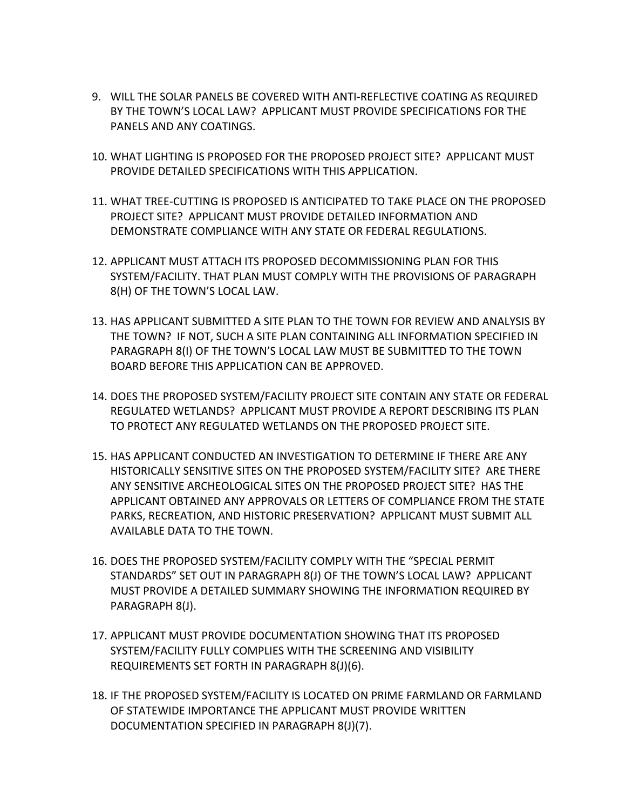- 9. WILL THE SOLAR PANELS BE COVERED WITH ANTI-REFLECTIVE COATING AS REQUIRED BY THE TOWN'S LOCAL LAW? APPLICANT MUST PROVIDE SPECIFICATIONS FOR THE PANELS AND ANY COATINGS.
- 10. WHAT LIGHTING IS PROPOSED FOR THE PROPOSED PROJECT SITE? APPLICANT MUST PROVIDE DETAILED SPECIFICATIONS WITH THIS APPLICATION.
- 11. WHAT TREE-CUTTING IS PROPOSED IS ANTICIPATED TO TAKE PLACE ON THE PROPOSED PROJECT SITE? APPLICANT MUST PROVIDE DETAILED INFORMATION AND DEMONSTRATE COMPLIANCE WITH ANY STATE OR FEDERAL REGULATIONS.
- 12. APPLICANT MUST ATTACH ITS PROPOSED DECOMMISSIONING PLAN FOR THIS SYSTEM/FACILITY. THAT PLAN MUST COMPLY WITH THE PROVISIONS OF PARAGRAPH 8(H) OF THE TOWN'S LOCAL LAW.
- 13. HAS APPLICANT SUBMITTED A SITE PLAN TO THE TOWN FOR REVIEW AND ANALYSIS BY THE TOWN? IF NOT, SUCH A SITE PLAN CONTAINING ALL INFORMATION SPECIFIED IN PARAGRAPH 8(I) OF THE TOWN'S LOCAL LAW MUST BE SUBMITTED TO THE TOWN BOARD BEFORE THIS APPLICATION CAN BE APPROVED.
- 14. DOES THE PROPOSED SYSTEM/FACILITY PROJECT SITE CONTAIN ANY STATE OR FEDERAL REGULATED WETLANDS? APPLICANT MUST PROVIDE A REPORT DESCRIBING ITS PLAN TO PROTECT ANY REGULATED WETLANDS ON THE PROPOSED PROJECT SITE.
- 15. HAS APPLICANT CONDUCTED AN INVESTIGATION TO DETERMINE IF THERE ARE ANY HISTORICALLY SENSITIVE SITES ON THE PROPOSED SYSTEM/FACILITY SITE? ARE THERE ANY SENSITIVE ARCHEOLOGICAL SITES ON THE PROPOSED PROJECT SITE? HAS THE APPLICANT OBTAINED ANY APPROVALS OR LETTERS OF COMPLIANCE FROM THE STATE PARKS, RECREATION, AND HISTORIC PRESERVATION? APPLICANT MUST SUBMIT ALL AVAILABLE DATA TO THE TOWN.
- 16. DOES THE PROPOSED SYSTEM/FACILITY COMPLY WITH THE "SPECIAL PERMIT STANDARDS" SET OUT IN PARAGRAPH 8(J) OF THE TOWN'S LOCAL LAW? APPLICANT MUST PROVIDE A DETAILED SUMMARY SHOWING THE INFORMATION REQUIRED BY PARAGRAPH 8(J).
- 17. APPLICANT MUST PROVIDE DOCUMENTATION SHOWING THAT ITS PROPOSED SYSTEM/FACILITY FULLY COMPLIES WITH THE SCREENING AND VISIBILITY REQUIREMENTS SET FORTH IN PARAGRAPH 8(J)(6).
- 18. IF THE PROPOSED SYSTEM/FACILITY IS LOCATED ON PRIME FARMLAND OR FARMLAND OF STATEWIDE IMPORTANCE THE APPLICANT MUST PROVIDE WRITTEN DOCUMENTATION SPECIFIED IN PARAGRAPH 8(J)(7).